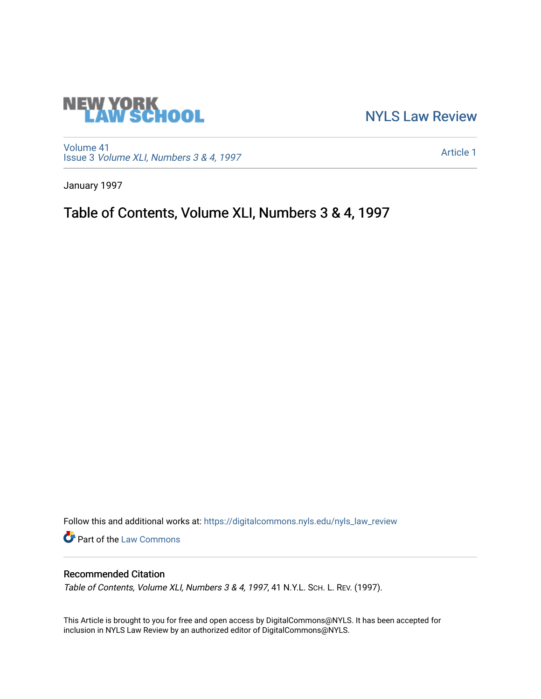

[NYLS Law Review](https://digitalcommons.nyls.edu/nyls_law_review) 

[Volume 41](https://digitalcommons.nyls.edu/nyls_law_review/vol41) Issue 3 [Volume XLI, Numbers 3 & 4, 1997](https://digitalcommons.nyls.edu/nyls_law_review/vol41/iss3)

[Article 1](https://digitalcommons.nyls.edu/nyls_law_review/vol41/iss3/1) 

January 1997

# Table of Contents, Volume XLI, Numbers 3 & 4, 1997

Follow this and additional works at: [https://digitalcommons.nyls.edu/nyls\\_law\\_review](https://digitalcommons.nyls.edu/nyls_law_review?utm_source=digitalcommons.nyls.edu%2Fnyls_law_review%2Fvol41%2Fiss3%2F1&utm_medium=PDF&utm_campaign=PDFCoverPages) 

**Part of the [Law Commons](https://network.bepress.com/hgg/discipline/578?utm_source=digitalcommons.nyls.edu%2Fnyls_law_review%2Fvol41%2Fiss3%2F1&utm_medium=PDF&utm_campaign=PDFCoverPages)** 

### Recommended Citation

Table of Contents, Volume XLI, Numbers 3 & 4, 1997, 41 N.Y.L. SCH. L. REV. (1997).

This Article is brought to you for free and open access by DigitalCommons@NYLS. It has been accepted for inclusion in NYLS Law Review by an authorized editor of DigitalCommons@NYLS.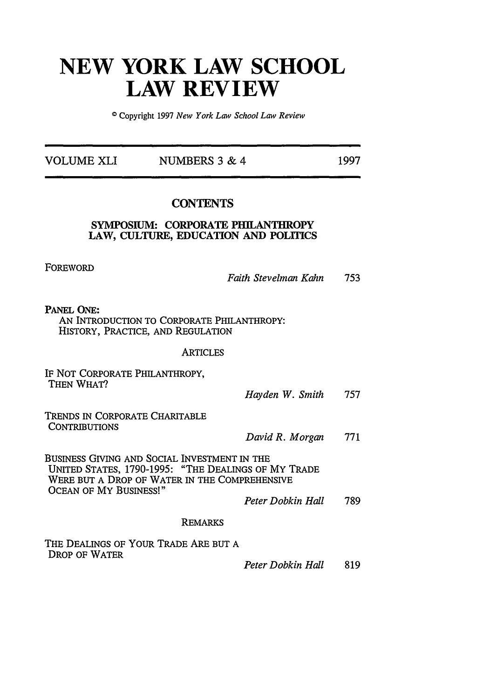# **NEW YORK LAW SCHOOL LAW REVIEW**

**0** Copyright 1997 *New York Law School Law Review*

**VOLUME** XLI **NUMBERS 3 &** 4 **1997**

#### **CONTENTS**

#### **SYMPOSIUM: CORPORATE PHILANTHROPY LAW, CULTURE, EDUCATION AND POLITICS**

FOREWORD

*Faith Stevelman Kahn* 753

**PANEL** ONE:

AN INTRODUCTION TO CORPORATE PHILANTHROPY: HISTORY, PRACTICE, AND REGULATION

#### **ARTICLES**

IF NOT CORPORATE PHILANTHROPY, THEN WHAT?

*Hayden W. Smith* 757

TRENDS IN CORPORATE CHARITABLE **CONTRIBUTIONS** 

*David R. Morgan* 771

BUSINESS GIVING AND SOCIAL INVESTMENT IN THE UNITED STATES, 1790-1995: "THE DEALINGS OF MY TRADE WERE BUT A DROP OF WATER IN THE COMPREHENSIVE OCEAN OF MY BUSINESS!"

*Peter Dobkin Hall* **789**

#### REMARKS

THE DEALINGS OF YOUR TRADE ARE BUT A DROP OF WATER

*Peter Dobkin Hall* 819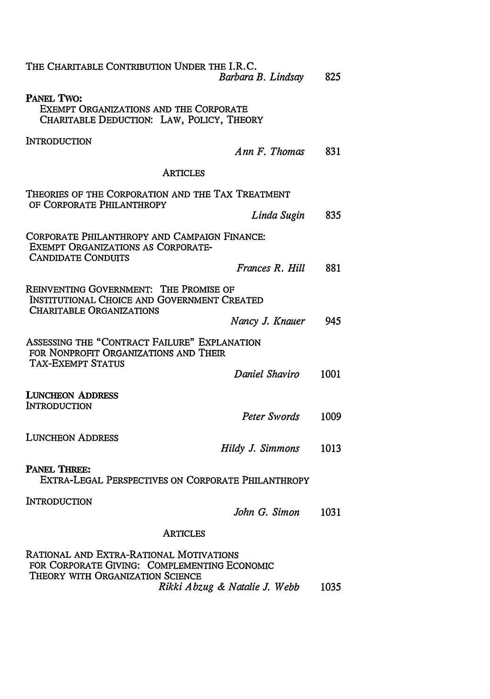| THE CHARITABLE CONTRIBUTION UNDER THE I.R.C.                                                                                | Barbara B. Lindsay            | 825  |
|-----------------------------------------------------------------------------------------------------------------------------|-------------------------------|------|
| PANEL TWO:<br>EXEMPT ORGANIZATIONS AND THE CORPORATE<br>CHARITABLE DEDUCTION: LAW, POLICY, THEORY                           |                               |      |
| <b>INTRODUCTION</b>                                                                                                         | Ann F. Thomas                 | 831  |
| ARTICLES                                                                                                                    |                               |      |
| THEORIES OF THE CORPORATION AND THE TAX TREATMENT<br>OF CORPORATE PHILANTHROPY                                              |                               |      |
|                                                                                                                             | Linda Sugin                   | 835  |
| CORPORATE PHILANTHROPY AND CAMPAIGN FINANCE:<br>EXEMPT ORGANIZATIONS AS CORPORATE-<br>CANDIDATE CONDUITS                    |                               |      |
|                                                                                                                             | Frances R. Hill               | 881  |
| REINVENTING GOVERNMENT: THE PROMISE OF<br><b>INSTITUTIONAL CHOICE AND GOVERNMENT CREATED</b><br>CHARITABLE ORGANIZATIONS    |                               |      |
|                                                                                                                             | Nancy J. Knauer               | 945  |
| ASSESSING THE "CONTRACT FAILURE" EXPLANATION<br>FOR NONPROFIT ORGANIZATIONS AND THEIR<br><b>TAX-EXEMPT STATUS</b>           |                               |      |
|                                                                                                                             | Daniel Shaviro                | 1001 |
| <b>LUNCHEON ADDRESS</b><br><b>INTRODUCTION</b>                                                                              |                               |      |
|                                                                                                                             | Peter Swords                  | 1009 |
| <b>LUNCHEON ADDRESS</b>                                                                                                     | Hildy J. Simmons              | 1013 |
| PANEL THREE:<br>EXTRA-LEGAL PERSPECTIVES ON CORPORATE PHILANTHROPY                                                          |                               |      |
| INTRODUCTION                                                                                                                | John G. Simon                 | 1031 |
| ARTICLES                                                                                                                    |                               |      |
| RATIONAL AND EXTRA-RATIONAL MOTIVATIONS<br>FOR CORPORATE GIVING: COMPLEMENTING ECONOMIC<br>THEORY WITH ORGANIZATION SCIENCE | Rikki Abzug & Natalie J. Webb | 1035 |
|                                                                                                                             |                               |      |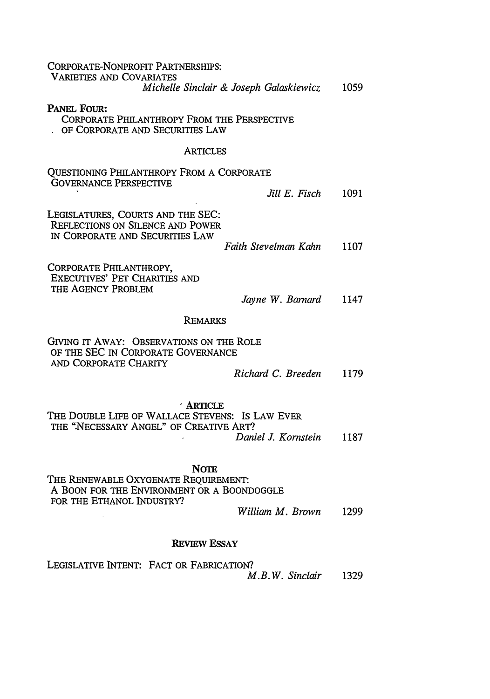| <b>CORPORATE-NONPROFIT PARTNERSHIPS:</b><br><b>VARIETIES AND COVARIATES</b>                                                    |                      |      |
|--------------------------------------------------------------------------------------------------------------------------------|----------------------|------|
| Michelle Sinclair & Joseph Galaskiewicz                                                                                        |                      | 1059 |
| PANEL FOUR:<br><b>CORPORATE PHILANTHROPY FROM THE PERSPECTIVE</b><br>OF CORPORATE AND SECURITIES LAW                           |                      |      |
| ARTICLES                                                                                                                       |                      |      |
| QUESTIONING PHILANTHROPY FROM A CORPORATE<br><b>GOVERNANCE PERSPECTIVE</b>                                                     |                      |      |
|                                                                                                                                | Jill E. Fisch        | 1091 |
| LEGISLATURES, COURTS AND THE SEC:<br>REFLECTIONS ON SILENCE AND POWER<br>IN CORPORATE AND SECURITIES LAW                       |                      |      |
|                                                                                                                                | Faith Stevelman Kahn | 1107 |
| CORPORATE PHILANTHROPY,<br><b>EXECUTIVES' PET CHARITIES AND</b><br>THE AGENCY PROBLEM                                          |                      |      |
|                                                                                                                                |                      |      |
|                                                                                                                                | Jayne W. Barnard     | 1147 |
| <b>REMARKS</b>                                                                                                                 |                      |      |
| GIVING IT AWAY: OBSERVATIONS ON THE ROLE<br>OF THE SEC IN CORPORATE GOVERNANCE                                                 |                      |      |
| AND CORPORATE CHARITY                                                                                                          | Richard C. Breeden   | 1179 |
| <b>ARTICLE</b><br>THE DOUBLE LIFE OF WALLACE STEVENS: IS LAW EVER<br>THE "NECESSARY ANGEL" OF CREATIVE ART?                    |                      |      |
|                                                                                                                                | Daniel J. Kornstein  | 1187 |
| <b>NOTE</b><br>THE RENEWABLE OXYGENATE REQUIREMENT:<br>A BOON FOR THE ENVIRONMENT OR A BOONDOGGLE<br>FOR THE ETHANOL INDUSTRY? |                      |      |

## REVIEW ESSAY

LEGISLATIVE INTENT: FACT OR FABRICATION? *M.B.W. Sinclair* 1329